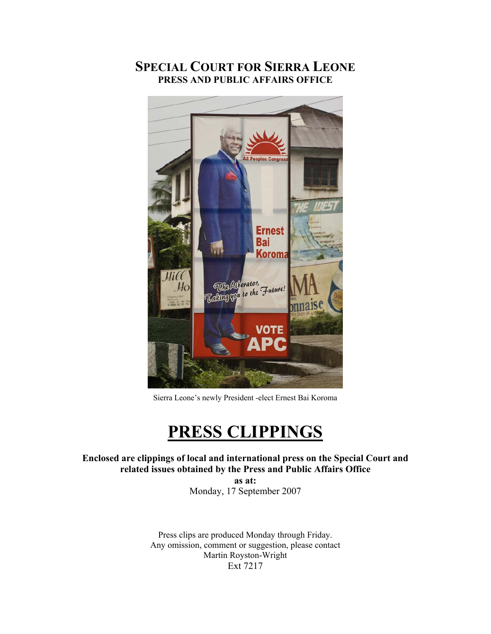### **SPECIAL COURT FOR SIERRA LEONE PRESS AND PUBLIC AFFAIRS OFFICE**



Sierra Leone's newly President -elect Ernest Bai Koroma

# **PRESS CLIPPINGS**

**Enclosed are clippings of local and international press on the Special Court and related issues obtained by the Press and Public Affairs Office** 

**as at:**  Monday, 17 September 2007

Press clips are produced Monday through Friday. Any omission, comment or suggestion, please contact Martin Royston-Wright Ext 7217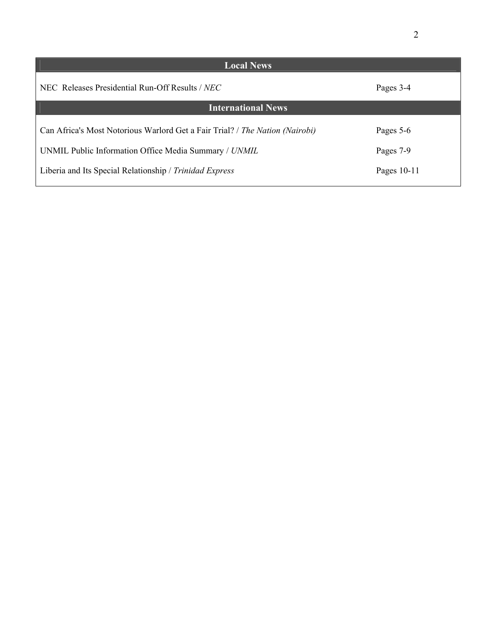| <b>Local News</b>                                                            |             |  |
|------------------------------------------------------------------------------|-------------|--|
| NEC Releases Presidential Run-Off Results / NEC                              | Pages 3-4   |  |
| <b>International News</b>                                                    |             |  |
| Can Africa's Most Notorious Warlord Get a Fair Trial? / The Nation (Nairobi) | Pages 5-6   |  |
| UNMIL Public Information Office Media Summary / UNMIL                        | Pages 7-9   |  |
| Liberia and Its Special Relationship / Trinidad Express                      | Pages 10-11 |  |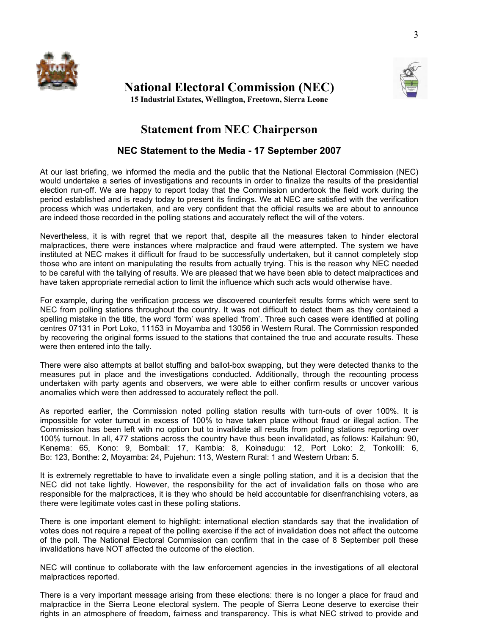



**National Electoral Commission (NEC) 15 Industrial Estates, Wellington, Freetown, Sierra Leone** 

### **Statement from NEC Chairperson**

### **NEC Statement to the Media - 17 September 2007**

At our last briefing, we informed the media and the public that the National Electoral Commission (NEC) would undertake a series of investigations and recounts in order to finalize the results of the presidential election run-off. We are happy to report today that the Commission undertook the field work during the period established and is ready today to present its findings. We at NEC are satisfied with the verification process which was undertaken, and are very confident that the official results we are about to announce are indeed those recorded in the polling stations and accurately reflect the will of the voters.

Nevertheless, it is with regret that we report that, despite all the measures taken to hinder electoral malpractices, there were instances where malpractice and fraud were attempted. The system we have instituted at NEC makes it difficult for fraud to be successfully undertaken, but it cannot completely stop those who are intent on manipulating the results from actually trying. This is the reason why NEC needed to be careful with the tallying of results. We are pleased that we have been able to detect malpractices and have taken appropriate remedial action to limit the influence which such acts would otherwise have.

For example, during the verification process we discovered counterfeit results forms which were sent to NEC from polling stations throughout the country. It was not difficult to detect them as they contained a spelling mistake in the title, the word 'form' was spelled 'from'. Three such cases were identified at polling centres 07131 in Port Loko, 11153 in Moyamba and 13056 in Western Rural. The Commission responded by recovering the original forms issued to the stations that contained the true and accurate results. These were then entered into the tally.

There were also attempts at ballot stuffing and ballot-box swapping, but they were detected thanks to the measures put in place and the investigations conducted. Additionally, through the recounting process undertaken with party agents and observers, we were able to either confirm results or uncover various anomalies which were then addressed to accurately reflect the poll.

As reported earlier, the Commission noted polling station results with turn-outs of over 100%. It is impossible for voter turnout in excess of 100% to have taken place without fraud or illegal action. The Commission has been left with no option but to invalidate all results from polling stations reporting over 100% turnout. In all, 477 stations across the country have thus been invalidated, as follows: Kailahun: 90, Kenema: 65, Kono: 9, Bombali: 17, Kambia: 8, Koinadugu: 12, Port Loko: 2, Tonkolili: 6, Bo: 123, Bonthe: 2, Moyamba: 24, Pujehun: 113, Western Rural: 1 and Western Urban: 5.

It is extremely regrettable to have to invalidate even a single polling station, and it is a decision that the NEC did not take lightly. However, the responsibility for the act of invalidation falls on those who are responsible for the malpractices, it is they who should be held accountable for disenfranchising voters, as there were legitimate votes cast in these polling stations.

There is one important element to highlight: international election standards say that the invalidation of votes does not require a repeat of the polling exercise if the act of invalidation does not affect the outcome of the poll. The National Electoral Commission can confirm that in the case of 8 September poll these invalidations have NOT affected the outcome of the election.

NEC will continue to collaborate with the law enforcement agencies in the investigations of all electoral malpractices reported.

There is a very important message arising from these elections: there is no longer a place for fraud and malpractice in the Sierra Leone electoral system. The people of Sierra Leone deserve to exercise their rights in an atmosphere of freedom, fairness and transparency. This is what NEC strived to provide and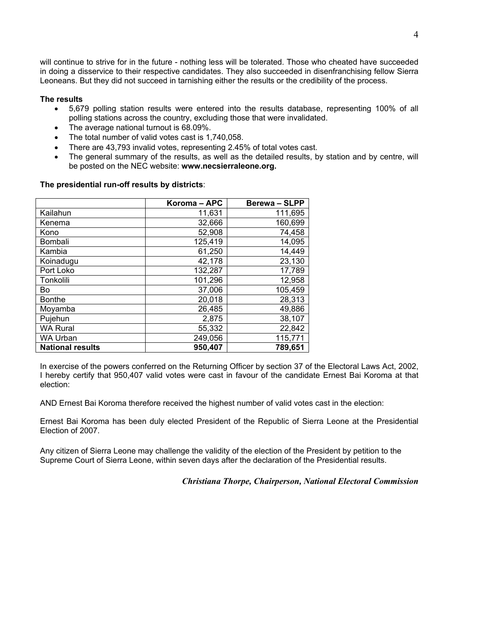will continue to strive for in the future - nothing less will be tolerated. Those who cheated have succeeded in doing a disservice to their respective candidates. They also succeeded in disenfranchising fellow Sierra Leoneans. But they did not succeed in tarnishing either the results or the credibility of the process.

#### **The results**

- 5,679 polling station results were entered into the results database, representing 100% of all polling stations across the country, excluding those that were invalidated.
- The average national turnout is 68.09%.
- The total number of valid votes cast is 1,740,058.
- There are 43,793 invalid votes, representing 2.45% of total votes cast.
- The general summary of the results, as well as the detailed results, by station and by centre, will be posted on the NEC website: **www.necsierraleone.org.**

## **The presidential run-off results by districts**:

|                         | Koroma – APC | <b>Berewa-SLPP</b> |
|-------------------------|--------------|--------------------|
| Kailahun                | 11,631       | 111,695            |
| Kenema                  | 32,666       | 160,699            |
| Kono                    | 52,908       | 74,458             |
| <b>Bombali</b>          | 125,419      | 14,095             |
| Kambia                  | 61,250       | 14,449             |
| Koinadugu               | 42,178       | 23,130             |
| Port Loko               | 132,287      | 17,789             |
| Tonkolili               | 101,296      | 12,958             |
| Bo                      | 37,006       | 105,459            |
| <b>Bonthe</b>           | 20,018       | 28,313             |
| Moyamba                 | 26,485       | 49,886             |
| Pujehun                 | 2,875        | 38,107             |
| <b>WA Rural</b>         | 55,332       | 22,842             |
| <b>WA Urban</b>         | 249,056      | 115,771            |
| <b>National results</b> | 950,407      | 789,651            |

In exercise of the powers conferred on the Returning Officer by section 37 of the Electoral Laws Act, 2002, I hereby certify that 950,407 valid votes were cast in favour of the candidate Ernest Bai Koroma at that election:

AND Ernest Bai Koroma therefore received the highest number of valid votes cast in the election:

Ernest Bai Koroma has been duly elected President of the Republic of Sierra Leone at the Presidential Election of 2007.

Any citizen of Sierra Leone may challenge the validity of the election of the President by petition to the Supreme Court of Sierra Leone, within seven days after the declaration of the Presidential results.

*Christiana Thorpe, Chairperson, National Electoral Commission*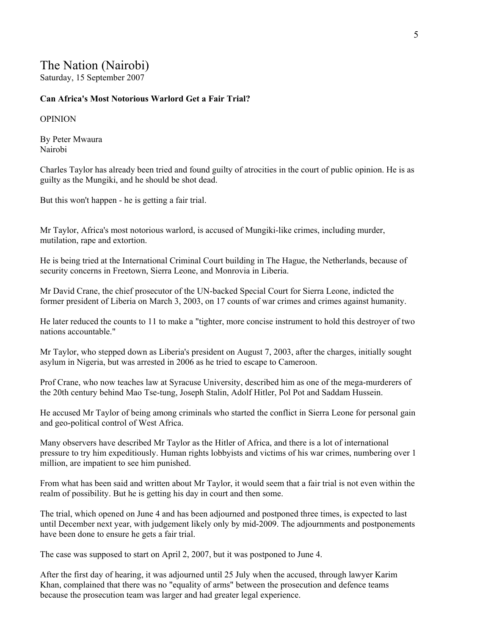### The Nation (Nairobi)

Saturday, 15 September 2007

#### **Can Africa's Most Notorious Warlord Get a Fair Trial?**

#### OPINION

By Peter Mwaura Nairobi

Charles Taylor has already been tried and found guilty of atrocities in the court of public opinion. He is as guilty as the Mungiki, and he should be shot dead.

But this won't happen - he is getting a fair trial.

Mr Taylor, Africa's most notorious warlord, is accused of Mungiki-like crimes, including murder, mutilation, rape and extortion.

He is being tried at the International Criminal Court building in The Hague, the Netherlands, because of security concerns in Freetown, Sierra Leone, and Monrovia in Liberia.

Mr David Crane, the chief prosecutor of the UN-backed Special Court for Sierra Leone, indicted the former president of Liberia on March 3, 2003, on 17 counts of war crimes and crimes against humanity.

He later reduced the counts to 11 to make a "tighter, more concise instrument to hold this destroyer of two nations accountable."

Mr Taylor, who stepped down as Liberia's president on August 7, 2003, after the charges, initially sought asylum in Nigeria, but was arrested in 2006 as he tried to escape to Cameroon.

Prof Crane, who now teaches law at Syracuse University, described him as one of the mega-murderers of the 20th century behind Mao Tse-tung, Joseph Stalin, Adolf Hitler, Pol Pot and Saddam Hussein.

He accused Mr Taylor of being among criminals who started the conflict in Sierra Leone for personal gain and geo-political control of West Africa.

Many observers have described Mr Taylor as the Hitler of Africa, and there is a lot of international pressure to try him expeditiously. Human rights lobbyists and victims of his war crimes, numbering over 1 million, are impatient to see him punished.

From what has been said and written about Mr Taylor, it would seem that a fair trial is not even within the realm of possibility. But he is getting his day in court and then some.

The trial, which opened on June 4 and has been adjourned and postponed three times, is expected to last until December next year, with judgement likely only by mid-2009. The adjournments and postponements have been done to ensure he gets a fair trial.

The case was supposed to start on April 2, 2007, but it was postponed to June 4.

After the first day of hearing, it was adjourned until 25 July when the accused, through lawyer Karim Khan, complained that there was no "equality of arms" between the prosecution and defence teams because the prosecution team was larger and had greater legal experience.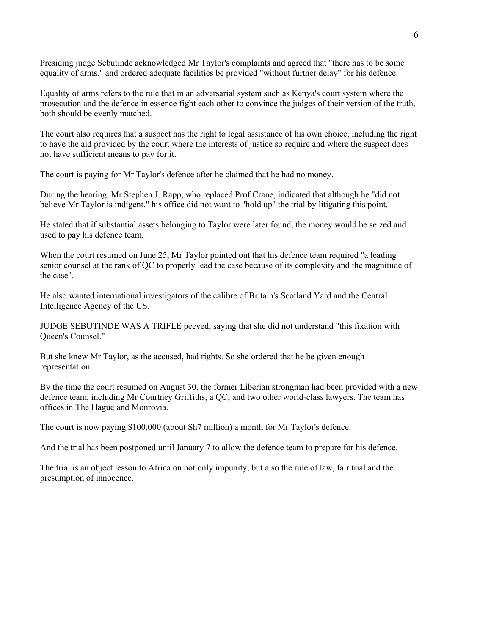Presiding judge Sebutinde acknowledged Mr Taylor's complaints and agreed that "there has to be some equality of arms," and ordered adequate facilities be provided "without further delay" for his defence.

Equality of arms refers to the rule that in an adversarial system such as Kenya's court system where the prosecution and the defence in essence fight each other to convince the judges of their version of the truth, both should be evenly matched.

The court also requires that a suspect has the right to legal assistance of his own choice, including the right to have the aid provided by the court where the interests of justice so require and where the suspect does not have sufficient means to pay for it.

The court is paying for Mr Taylor's defence after he claimed that he had no money.

During the hearing, Mr Stephen J. Rapp, who replaced Prof Crane, indicated that although he "did not believe Mr Taylor is indigent," his office did not want to "hold up" the trial by litigating this point.

He stated that if substantial assets belonging to Taylor were later found, the money would be seized and used to pay his defence team.

When the court resumed on June 25, Mr Taylor pointed out that his defence team required "a leading senior counsel at the rank of QC to properly lead the case because of its complexity and the magnitude of the case".

He also wanted international investigators of the calibre of Britain's Scotland Yard and the Central Intelligence Agency of the US.

JUDGE SEBUTINDE WAS A TRIFLE peeved, saying that she did not understand "this fixation with Queen's Counsel."

But she knew Mr Taylor, as the accused, had rights. So she ordered that he be given enough representation.

By the time the court resumed on August 30, the former Liberian strongman had been provided with a new defence team, including Mr Courtney Griffiths, a QC, and two other world-class lawyers. The team has offices in The Hague and Monrovia.

The court is now paying \$100,000 (about Sh7 million) a month for Mr Taylor's defence.

And the trial has been postponed until January 7 to allow the defence team to prepare for his defence.

The trial is an object lesson to Africa on not only impunity, but also the rule of law, fair trial and the presumption of innocence.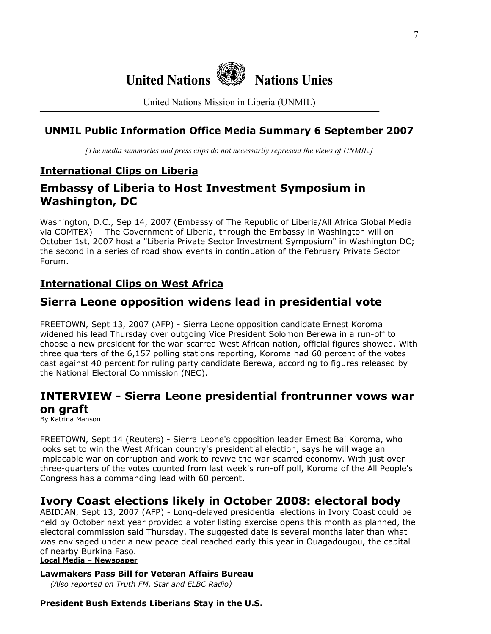

United Nations Mission in Liberia (UNMIL)

### **UNMIL Public Information Office Media Summary 6 September 2007**

*[The media summaries and press clips do not necessarily represent the views of UNMIL.]*

### **International Clips on Liberia**

### **Embassy of Liberia to Host Investment Symposium in Washington, DC**

Washington, D.C., Sep 14, 2007 (Embassy of The Republic of Liberia/All Africa Global Media via COMTEX) -- The Government of Liberia, through the Embassy in Washington will on October 1st, 2007 host a "Liberia Private Sector Investment Symposium" in Washington DC; the second in a series of road show events in continuation of the February Private Sector Forum.

### **International Clips on West Africa**

### **Sierra Leone opposition widens lead in presidential vote**

FREETOWN, Sept 13, 2007 (AFP) - Sierra Leone opposition candidate Ernest Koroma widened his lead Thursday over outgoing Vice President Solomon Berewa in a run-off to choose a new president for the war-scarred West African nation, official figures showed. With three quarters of the 6,157 polling stations reporting, Koroma had 60 percent of the votes cast against 40 percent for ruling party candidate Berewa, according to figures released by the National Electoral Commission (NEC).

## **INTERVIEW - Sierra Leone presidential frontrunner vows war**

**on graft**

By Katrina Manson

FREETOWN, Sept 14 (Reuters) - Sierra Leone's opposition leader Ernest Bai Koroma, who looks set to win the West African country's presidential election, says he will wage an implacable war on corruption and work to revive the war-scarred economy. With just over three-quarters of the votes counted from last week's run-off poll, Koroma of the All People's Congress has a commanding lead with 60 percent.

### **Ivory Coast elections likely in October 2008: electoral body**

ABIDJAN, Sept 13, 2007 (AFP) - Long-delayed presidential elections in Ivory Coast could be held by October next year provided a voter listing exercise opens this month as planned, the electoral commission said Thursday. The suggested date is several months later than what was envisaged under a new peace deal reached early this year in Ouagadougou, the capital of nearby Burkina Faso.

#### **Local Media – Newspaper**

### **Lawmakers Pass Bill for Veteran Affairs Bureau**

 *(Also reported on Truth FM, Star and ELBC Radio)*

### **President Bush Extends Liberians Stay in the U.S.**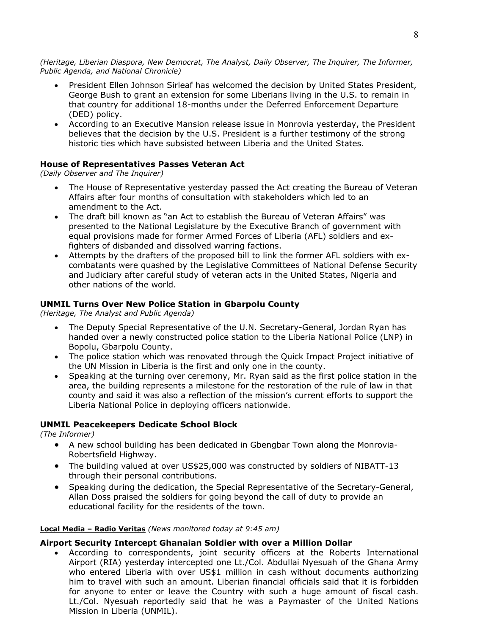*(Heritage, Liberian Diaspora, New Democrat, The Analyst, Daily Observer, The Inquirer, The Informer, Public Agenda, and National Chronicle)* 

- President Ellen Johnson Sirleaf has welcomed the decision by United States President, George Bush to grant an extension for some Liberians living in the U.S. to remain in that country for additional 18-months under the Deferred Enforcement Departure (DED) policy.
- According to an Executive Mansion release issue in Monrovia yesterday, the President believes that the decision by the U.S. President is a further testimony of the strong historic ties which have subsisted between Liberia and the United States.

#### **House of Representatives Passes Veteran Act**

*(Daily Observer and The Inquirer)* 

- The House of Representative yesterday passed the Act creating the Bureau of Veteran Affairs after four months of consultation with stakeholders which led to an amendment to the Act.
- The draft bill known as "an Act to establish the Bureau of Veteran Affairs" was presented to the National Legislature by the Executive Branch of government with equal provisions made for former Armed Forces of Liberia (AFL) soldiers and exfighters of disbanded and dissolved warring factions.
- Attempts by the drafters of the proposed bill to link the former AFL soldiers with excombatants were quashed by the Legislative Committees of National Defense Security and Judiciary after careful study of veteran acts in the United States, Nigeria and other nations of the world.

#### **UNMIL Turns Over New Police Station in Gbarpolu County**

*(Heritage, The Analyst and Public Agenda)* 

- The Deputy Special Representative of the U.N. Secretary-General, Jordan Ryan has handed over a newly constructed police station to the Liberia National Police (LNP) in Bopolu, Gbarpolu County.
- The police station which was renovated through the Quick Impact Project initiative of the UN Mission in Liberia is the first and only one in the county.
- Speaking at the turning over ceremony, Mr. Ryan said as the first police station in the area, the building represents a milestone for the restoration of the rule of law in that county and said it was also a reflection of the mission's current efforts to support the Liberia National Police in deploying officers nationwide.

#### **UNMIL Peacekeepers Dedicate School Block**

*(The Informer)* 

- A new school building has been dedicated in Gbengbar Town along the Monrovia-Robertsfield Highway.
- The building valued at over US\$25,000 was constructed by soldiers of NIBATT-13 through their personal contributions.
- Speaking during the dedication, the Special Representative of the Secretary-General, Allan Doss praised the soldiers for going beyond the call of duty to provide an educational facility for the residents of the town.

#### **Local Media – Radio Veritas** *(News monitored today at 9:45 am)*

#### **Airport Security Intercept Ghanaian Soldier with over a Million Dollar**

• According to correspondents, joint security officers at the Roberts International Airport (RIA) yesterday intercepted one Lt./Col. Abdullai Nyesuah of the Ghana Army who entered Liberia with over US\$1 million in cash without documents authorizing him to travel with such an amount. Liberian financial officials said that it is forbidden for anyone to enter or leave the Country with such a huge amount of fiscal cash. Lt./Col. Nyesuah reportedly said that he was a Paymaster of the United Nations Mission in Liberia (UNMIL).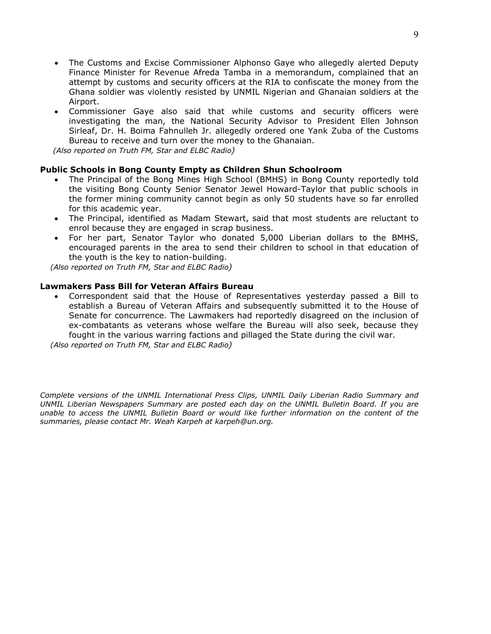- The Customs and Excise Commissioner Alphonso Gaye who allegedly alerted Deputy Finance Minister for Revenue Afreda Tamba in a memorandum, complained that an attempt by customs and security officers at the RIA to confiscate the money from the Ghana soldier was violently resisted by UNMIL Nigerian and Ghanaian soldiers at the Airport.
- Commissioner Gaye also said that while customs and security officers were investigating the man, the National Security Advisor to President Ellen Johnson Sirleaf, Dr. H. Boima Fahnulleh Jr. allegedly ordered one Yank Zuba of the Customs Bureau to receive and turn over the money to the Ghanaian.

 *(Also reported on Truth FM, Star and ELBC Radio)*

#### **Public Schools in Bong County Empty as Children Shun Schoolroom**

- The Principal of the Bong Mines High School (BMHS) in Bong County reportedly told the visiting Bong County Senior Senator Jewel Howard-Taylor that public schools in the former mining community cannot begin as only 50 students have so far enrolled for this academic year.
- The Principal, identified as Madam Stewart, said that most students are reluctant to enrol because they are engaged in scrap business.
- For her part, Senator Taylor who donated 5,000 Liberian dollars to the BMHS, encouraged parents in the area to send their children to school in that education of the youth is the key to nation-building.

 *(Also reported on Truth FM, Star and ELBC Radio)*

#### **Lawmakers Pass Bill for Veteran Affairs Bureau**

• Correspondent said that the House of Representatives yesterday passed a Bill to establish a Bureau of Veteran Affairs and subsequently submitted it to the House of Senate for concurrence. The Lawmakers had reportedly disagreed on the inclusion of ex-combatants as veterans whose welfare the Bureau will also seek, because they fought in the various warring factions and pillaged the State during the civil war.

 *(Also reported on Truth FM, Star and ELBC Radio)*

*Complete versions of the UNMIL International Press Clips, UNMIL Daily Liberian Radio Summary and UNMIL Liberian Newspapers Summary are posted each day on the UNMIL Bulletin Board. If you are unable to access the UNMIL Bulletin Board or would like further information on the content of the summaries, please contact Mr. Weah Karpeh at karpeh@un.org.*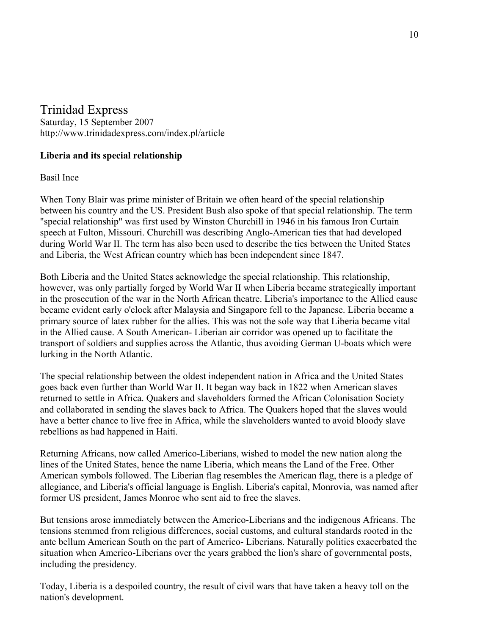### Trinidad Express

Saturday, 15 September 2007 <http://www.trinidadexpress.com/index.pl/article>

### **Liberia and its special relationship**

Basil Ince

When Tony Blair was prime minister of Britain we often heard of the special relationship between his country and the US. President Bush also spoke of that special relationship. The term "special relationship" was first used by Winston Churchill in 1946 in his famous Iron Curtain speech at Fulton, Missouri. Churchill was describing Anglo-American ties that had developed during World War II. The term has also been used to describe the ties between the United States and Liberia, the West African country which has been independent since 1847.

Both Liberia and the United States acknowledge the special relationship. This relationship, however, was only partially forged by World War II when Liberia became strategically important in the prosecution of the war in the North African theatre. Liberia's importance to the Allied cause became evident early o'clock after Malaysia and Singapore fell to the Japanese. Liberia became a primary source of latex rubber for the allies. This was not the sole way that Liberia became vital in the Allied cause. A South American- Liberian air corridor was opened up to facilitate the transport of soldiers and supplies across the Atlantic, thus avoiding German U-boats which were lurking in the North Atlantic.

The special relationship between the oldest independent nation in Africa and the United States goes back even further than World War II. It began way back in 1822 when American slaves returned to settle in Africa. Quakers and slaveholders formed the African Colonisation Society and collaborated in sending the slaves back to Africa. The Quakers hoped that the slaves would have a better chance to live free in Africa, while the slaveholders wanted to avoid bloody slave rebellions as had happened in Haiti.

Returning Africans, now called Americo-Liberians, wished to model the new nation along the lines of the United States, hence the name Liberia, which means the Land of the Free. Other American symbols followed. The Liberian flag resembles the American flag, there is a pledge of allegiance, and Liberia's official language is English. Liberia's capital, Monrovia, was named after former US president, James Monroe who sent aid to free the slaves.

But tensions arose immediately between the Americo-Liberians and the indigenous Africans. The tensions stemmed from religious differences, social customs, and cultural standards rooted in the ante bellum American South on the part of Americo- Liberians. Naturally politics exacerbated the situation when Americo-Liberians over the years grabbed the lion's share of governmental posts, including the presidency.

Today, Liberia is a despoiled country, the result of civil wars that have taken a heavy toll on the nation's development.